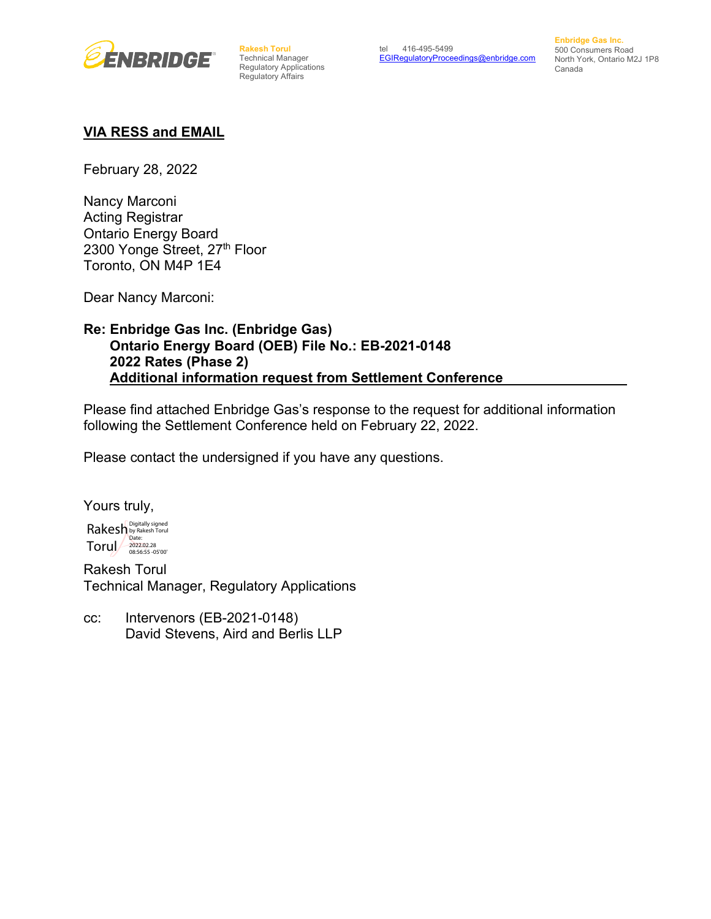

**Rakesh Torul**  Technical Manager Regulatory Applications Regulatory Affairs

**Enbridge Gas Inc.** 500 Consumers Road North York, Ontario M2J 1P8 Canada

#### **VIA RESS and EMAIL**

February 28, 2022

Nancy Marconi Acting Registrar Ontario Energy Board 2300 Yonge Street, 27th Floor Toronto, ON M4P 1E4

Dear Nancy Marconi:

### **Re: Enbridge Gas Inc. (Enbridge Gas) Ontario Energy Board (OEB) File No.: EB-2021-0148 2022 Rates (Phase 2) Additional information request from Settlement Conference**

Please find attached Enbridge Gas's response to the request for additional information following the Settlement Conference held on February 22, 2022.

Please contact the undersigned if you have any questions.

Yours truly, Rakesh by Rakesh Torul  $T$ orul $\frac{2022.02.28}{08:56:55-05'00'}$ Date:

Rakesh Torul Technical Manager, Regulatory Applications

cc: Intervenors (EB-2021-0148) David Stevens, Aird and Berlis LLP